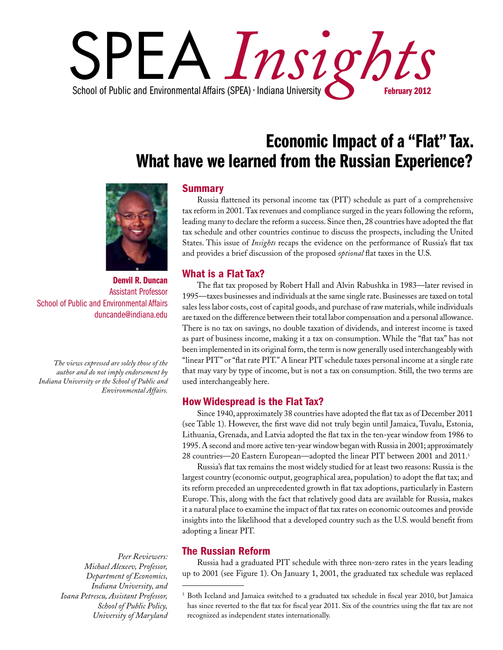

# Economic Impact of a "Flat" Tax. What have we learned from the Russian Experience?



Denvil R. Duncan Assistant Professor School of Public and Environmental Affairs duncande@indiana.edu

*The views expressed are solely those of the author and do not imply endorsement by Indiana University or the School of Public and Environmental Affairs.*

> *Peer Reviewers: Michael Alexeev, Professor, Department of Economics, Indiana University, and Ioana Petrescu, Assistant Professor, School of Public Policy, University of Maryland*

### **Summary**

Russia flattened its personal income tax (PIT) schedule as part of a comprehensive tax reform in 2001. Tax revenues and compliance surged in the years following the reform, leading many to declare the reform a success. Since then, 28 countries have adopted the flat tax schedule and other countries continue to discuss the prospects, including the United States. This issue of *Insights* recaps the evidence on the performance of Russia's flat tax and provides a brief discussion of the proposed *optional* flat taxes in the U.S.

# What is a Flat Tax?

The flat tax proposed by Robert Hall and Alvin Rabushka in 1983—later revised in 1995—taxes businesses and individuals at the same single rate. Businesses are taxed on total sales less labor costs, cost of capital goods, and purchase of raw materials, while individuals are taxed on the difference between their total labor compensation and a personal allowance. There is no tax on savings, no double taxation of dividends, and interest income is taxed as part of business income, making it a tax on consumption. While the "flat tax" has not been implemented in its original form, the term is now generally used interchangeably with "linear PIT" or "flat rate PIT." A linear PIT schedule taxes personal income at a single rate that may vary by type of income, but is not a tax on consumption. Still, the two terms are used interchangeably here.

#### How Widespread is the Flat Tax?

Since 1940, approximately 38 countries have adopted the flat tax as of December 2011 (see Table 1). However, the first wave did not truly begin until Jamaica, Tuvalu, Estonia, Lithuania, Grenada, and Latvia adopted the flat tax in the ten-year window from 1986 to 1995. A second and more active ten-year window began with Russia in 2001; approximately 28 countries—20 Eastern European—adopted the linear PIT between 2001 and 2011.<sup>1</sup>

Russia's flat tax remains the most widely studied for at least two reasons: Russia is the largest country (economic output, geographical area, population) to adopt the flat tax; and its reform preceded an unprecedented growth in flat tax adoptions, particularly in Eastern Europe. This, along with the fact that relatively good data are available for Russia, makes it a natural place to examine the impact of flat tax rates on economic outcomes and provide insights into the likelihood that a developed country such as the U.S. would benefit from adopting a linear PIT.

## The Russian Reform

Russia had a graduated PIT schedule with three non-zero rates in the years leading up to 2001 (see Figure 1). On January 1, 2001, the graduated tax schedule was replaced

<sup>&</sup>lt;sup>1</sup> Both Iceland and Jamaica switched to a graduated tax schedule in fiscal year 2010, but Jamaica has since reverted to the flat tax for fiscal year 2011. Six of the countries using the flat tax are not recognized as independent states internationally.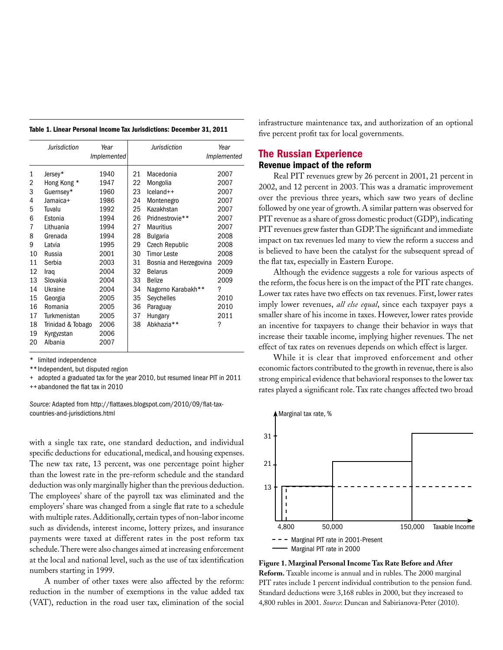|    | Jurisdiction      | Year<br><i>Implemented</i> |    | Jurisdiction           | Year<br>Implemented |
|----|-------------------|----------------------------|----|------------------------|---------------------|
| 1  | Jersey*           | 1940                       | 21 | Macedonia              | 2007                |
| 2  | Hong Kong *       | 1947                       | 22 | Mongolia               | 2007                |
| 3  | Guernsey*         | 1960                       | 23 | $lceland++$            | 2007                |
| 4  | Jamaica+          | 1986                       | 24 | Montenegro             | 2007                |
| 5  | Tuvalu            | 1992                       | 25 | Kazakhstan             | 2007                |
| 6  | Estonia           | 1994                       | 26 | Pridnestrovie**        | 2007                |
| 7  | Lithuania         | 1994                       | 27 | <b>Mauritius</b>       | 2007                |
| 8  | Grenada           | 1994                       | 28 | <b>Bulgaria</b>        | 2008                |
| 9  | Latvia            | 1995                       | 29 | Czech Republic         | 2008                |
| 10 | Russia            | 2001                       | 30 | <b>Timor Leste</b>     | 2008                |
| 11 | Serbia            | 2003                       | 31 | Bosnia and Herzegovina | 2009                |
| 12 | Iraq              | 2004                       | 32 | <b>Belarus</b>         | 2009                |
| 13 | Slovakia          | 2004                       | 33 | <b>Belize</b>          | 2009                |
| 14 | Ukraine           | 2004                       | 34 | Nagorno Karabakh**     | ?                   |
| 15 | Georgia           | 2005                       | 35 | Seychelles             | 2010                |
| 16 | Romania           | 2005                       | 36 | Paraguay               | 2010                |
| 17 | Turkmenistan      | 2005                       | 37 | Hungary                | 2011                |
| 18 | Trinidad & Tobago | 2006                       | 38 | Abkhazia <sup>**</sup> | ?                   |
| 19 | Kyrgyzstan        | 2006                       |    |                        |                     |
| 20 | Albania           | 2007                       |    |                        |                     |

| Table 1. Linear Personal Income Tax Jurisdictions: December 31, 2011 |  |  |  |  |  |  |
|----------------------------------------------------------------------|--|--|--|--|--|--|
|----------------------------------------------------------------------|--|--|--|--|--|--|

limited independence

\*\*Independent, but disputed region

+ adopted a graduated tax for the year 2010, but resumed linear PIT in 2011 ++abandoned the flat tax in 2010

*Source:* Adapted from [http://flattaxes.blogspot.com/2010/09/flat-tax](http://flattaxes.blogspot.com/2010/09/flat-tax-countries-and-jurisdictions.html)[countries-and-jurisdictions.html](http://flattaxes.blogspot.com/2010/09/flat-tax-countries-and-jurisdictions.html)

with a single tax rate, one standard deduction, and individual specific deductions for educational, medical, and housing expenses. The new tax rate, 13 percent, was one percentage point higher than the lowest rate in the pre-reform schedule and the standard deduction was only marginally higher than the previous deduction. The employees' share of the payroll tax was eliminated and the employers' share was changed from a single flat rate to a schedule with multiple rates. Additionally, certain types of non-labor income such as dividends, interest income, lottery prizes, and insurance payments were taxed at different rates in the post reform tax schedule. There were also changes aimed at increasing enforcement at the local and national level, such as the use of tax identification numbers starting in 1999.

A number of other taxes were also affected by the reform: reduction in the number of exemptions in the value added tax (VAT), reduction in the road user tax, elimination of the social infrastructure maintenance tax, and authorization of an optional five percent profit tax for local governments.

### The Russian Experience Revenue impact of the reform

Real PIT revenues grew by 26 percent in 2001, 21 percent in 2002, and 12 percent in 2003. This was a dramatic improvement over the previous three years, which saw two years of decline followed by one year of growth. A similar pattern was observed for PIT revenue as a share of gross domestic product (GDP), indicating PIT revenues grew faster than GDP. The significant and immediate impact on tax revenues led many to view the reform a success and is believed to have been the catalyst for the subsequent spread of the flat tax, especially in Eastern Europe.

Although the evidence suggests a role for various aspects of the reform, the focus here is on the impact of the PIT rate changes. Lower tax rates have two effects on tax revenues. First, lower rates imply lower revenues, *all else equal*, since each taxpayer pays a smaller share of his income in taxes. However, lower rates provide an incentive for taxpayers to change their behavior in ways that increase their taxable income, implying higher revenues. The net effect of tax rates on revenues depends on which effect is larger.

While it is clear that improved enforcement and other economic factors contributed to the growth in revenue, there is also strong empirical evidence that behavioral responses to the lower tax rates played a significant role. Tax rate changes affected two broad



**Figure 1. Marginal Personal Income Tax Rate Before and After Reform.** Taxable income is annual and in rubles. The 2000 marginal PIT rates include 1 percent individual contribution to the pension fund. Standard deductions were 3,168 rubles in 2000, but they increased to 4,800 rubles in 2001. *Source*: Duncan and Sabirianova-Peter (2010).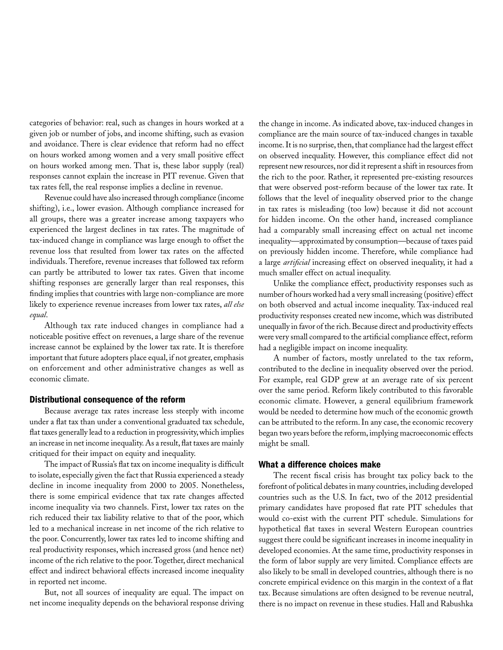categories of behavior: real, such as changes in hours worked at a given job or number of jobs, and income shifting, such as evasion and avoidance. There is clear evidence that reform had no effect on hours worked among women and a very small positive effect on hours worked among men. That is, these labor supply (real) responses cannot explain the increase in PIT revenue. Given that tax rates fell, the real response implies a decline in revenue.

Revenue could have also increased through compliance (income shifting), i.e., lower evasion. Although compliance increased for all groups, there was a greater increase among taxpayers who experienced the largest declines in tax rates. The magnitude of tax-induced change in compliance was large enough to offset the revenue loss that resulted from lower tax rates on the affected individuals. Therefore, revenue increases that followed tax reform can partly be attributed to lower tax rates. Given that income shifting responses are generally larger than real responses, this finding implies that countries with large non-compliance are more likely to experience revenue increases from lower tax rates, *all else equal*.

Although tax rate induced changes in compliance had a noticeable positive effect on revenues, a large share of the revenue increase cannot be explained by the lower tax rate. It is therefore important that future adopters place equal, if not greater, emphasis on enforcement and other administrative changes as well as economic climate.

#### Distributional consequence of the reform

Because average tax rates increase less steeply with income under a flat tax than under a conventional graduated tax schedule, flat taxes generally lead to a reduction in progressivity, which implies an increase in net income inequality. As a result, flat taxes are mainly critiqued for their impact on equity and inequality.

The impact of Russia's flat tax on income inequality is difficult to isolate, especially given the fact that Russia experienced a steady decline in income inequality from 2000 to 2005. Nonetheless, there is some empirical evidence that tax rate changes affected income inequality via two channels. First, lower tax rates on the rich reduced their tax liability relative to that of the poor, which led to a mechanical increase in net income of the rich relative to the poor. Concurrently, lower tax rates led to income shifting and real productivity responses, which increased gross (and hence net) income of the rich relative to the poor. Together, direct mechanical effect and indirect behavioral effects increased income inequality in reported net income.

But, not all sources of inequality are equal. The impact on net income inequality depends on the behavioral response driving

the change in income. As indicated above, tax-induced changes in compliance are the main source of tax-induced changes in taxable income. It is no surprise, then, that compliance had the largest effect on observed inequality. However, this compliance effect did not represent new resources, nor did it represent a shift in resources from the rich to the poor. Rather, it represented pre-existing resources that were observed post-reform because of the lower tax rate. It follows that the level of inequality observed prior to the change in tax rates is misleading (too low) because it did not account for hidden income. On the other hand, increased compliance had a comparably small increasing effect on actual net income inequality—approximated by consumption—because of taxes paid on previously hidden income. Therefore, while compliance had a large *artificial* increasing effect on observed inequality, it had a much smaller effect on actual inequality.

Unlike the compliance effect, productivity responses such as number of hours worked had a very small increasing (positive) effect on both observed and actual income inequality. Tax-induced real productivity responses created new income, which was distributed unequally in favor of the rich. Because direct and productivity effects were very small compared to the artificial compliance effect, reform had a negligible impact on income inequality.

A number of factors, mostly unrelated to the tax reform, contributed to the decline in inequality observed over the period. For example, real GDP grew at an average rate of six percent over the same period. Reform likely contributed to this favorable economic climate. However, a general equilibrium framework would be needed to determine how much of the economic growth can be attributed to the reform. In any case, the economic recovery began two years before the reform, implying macroeconomic effects might be small.

#### What a difference choices make

The recent fiscal crisis has brought tax policy back to the forefront of political debates in many countries, including developed countries such as the U.S. In fact, two of the 2012 presidential primary candidates have proposed flat rate PIT schedules that would co-exist with the current PIT schedule. Simulations for hypothetical flat taxes in several Western European countries suggest there could be significant increases in income inequality in developed economies. At the same time, productivity responses in the form of labor supply are very limited. Compliance effects are also likely to be small in developed countries, although there is no concrete empirical evidence on this margin in the context of a flat tax. Because simulations are often designed to be revenue neutral, there is no impact on revenue in these studies. Hall and Rabushka